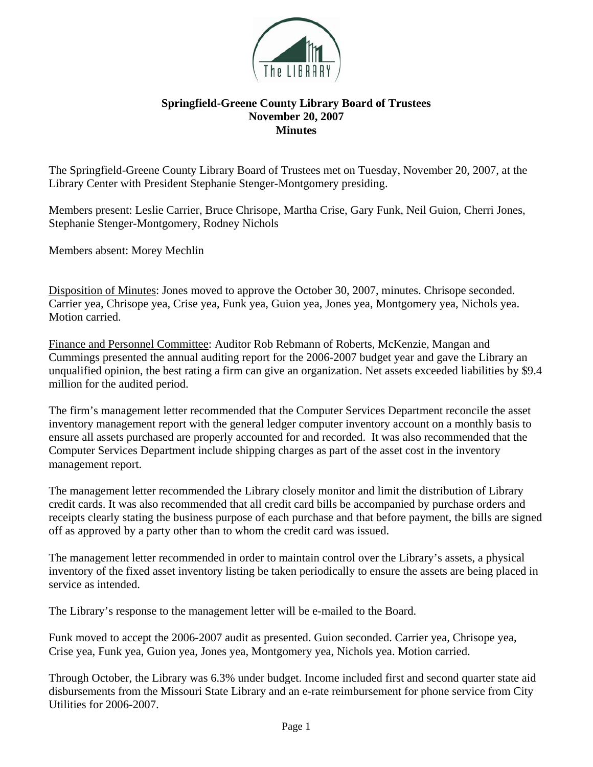

## **Springfield-Greene County Library Board of Trustees November 20, 2007 Minutes**

The Springfield-Greene County Library Board of Trustees met on Tuesday, November 20, 2007, at the Library Center with President Stephanie Stenger-Montgomery presiding.

Members present: Leslie Carrier, Bruce Chrisope, Martha Crise, Gary Funk, Neil Guion, Cherri Jones, Stephanie Stenger-Montgomery, Rodney Nichols

Members absent: Morey Mechlin

Disposition of Minutes: Jones moved to approve the October 30, 2007, minutes. Chrisope seconded. Carrier yea, Chrisope yea, Crise yea, Funk yea, Guion yea, Jones yea, Montgomery yea, Nichols yea. Motion carried.

Finance and Personnel Committee: Auditor Rob Rebmann of Roberts, McKenzie, Mangan and Cummings presented the annual auditing report for the 2006-2007 budget year and gave the Library an unqualified opinion, the best rating a firm can give an organization. Net assets exceeded liabilities by \$9.4 million for the audited period.

The firm's management letter recommended that the Computer Services Department reconcile the asset inventory management report with the general ledger computer inventory account on a monthly basis to ensure all assets purchased are properly accounted for and recorded. It was also recommended that the Computer Services Department include shipping charges as part of the asset cost in the inventory management report.

The management letter recommended the Library closely monitor and limit the distribution of Library credit cards. It was also recommended that all credit card bills be accompanied by purchase orders and receipts clearly stating the business purpose of each purchase and that before payment, the bills are signed off as approved by a party other than to whom the credit card was issued.

The management letter recommended in order to maintain control over the Library's assets, a physical inventory of the fixed asset inventory listing be taken periodically to ensure the assets are being placed in service as intended.

The Library's response to the management letter will be e-mailed to the Board.

Funk moved to accept the 2006-2007 audit as presented. Guion seconded. Carrier yea, Chrisope yea, Crise yea, Funk yea, Guion yea, Jones yea, Montgomery yea, Nichols yea. Motion carried.

Through October, the Library was 6.3% under budget. Income included first and second quarter state aid disbursements from the Missouri State Library and an e-rate reimbursement for phone service from City Utilities for 2006-2007.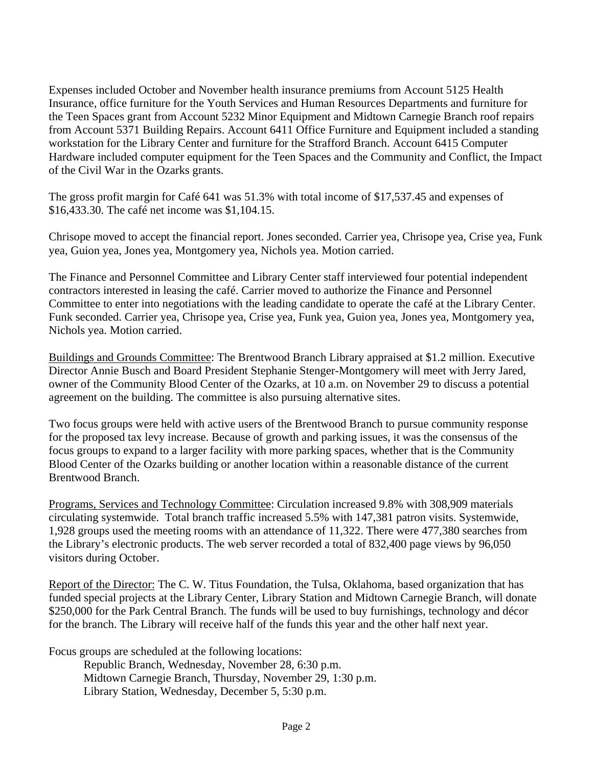Expenses included October and November health insurance premiums from Account 5125 Health Insurance, office furniture for the Youth Services and Human Resources Departments and furniture for the Teen Spaces grant from Account 5232 Minor Equipment and Midtown Carnegie Branch roof repairs from Account 5371 Building Repairs. Account 6411 Office Furniture and Equipment included a standing workstation for the Library Center and furniture for the Strafford Branch. Account 6415 Computer Hardware included computer equipment for the Teen Spaces and the Community and Conflict, the Impact of the Civil War in the Ozarks grants.

The gross profit margin for Café 641 was 51.3% with total income of \$17,537.45 and expenses of \$16,433.30. The café net income was \$1,104.15.

Chrisope moved to accept the financial report. Jones seconded. Carrier yea, Chrisope yea, Crise yea, Funk yea, Guion yea, Jones yea, Montgomery yea, Nichols yea. Motion carried.

The Finance and Personnel Committee and Library Center staff interviewed four potential independent contractors interested in leasing the café. Carrier moved to authorize the Finance and Personnel Committee to enter into negotiations with the leading candidate to operate the café at the Library Center. Funk seconded. Carrier yea, Chrisope yea, Crise yea, Funk yea, Guion yea, Jones yea, Montgomery yea, Nichols yea. Motion carried.

Buildings and Grounds Committee: The Brentwood Branch Library appraised at \$1.2 million. Executive Director Annie Busch and Board President Stephanie Stenger-Montgomery will meet with Jerry Jared, owner of the Community Blood Center of the Ozarks, at 10 a.m. on November 29 to discuss a potential agreement on the building. The committee is also pursuing alternative sites.

Two focus groups were held with active users of the Brentwood Branch to pursue community response for the proposed tax levy increase. Because of growth and parking issues, it was the consensus of the focus groups to expand to a larger facility with more parking spaces, whether that is the Community Blood Center of the Ozarks building or another location within a reasonable distance of the current Brentwood Branch.

Programs, Services and Technology Committee: Circulation increased 9.8% with 308,909 materials circulating systemwide. Total branch traffic increased 5.5% with 147,381 patron visits. Systemwide, 1,928 groups used the meeting rooms with an attendance of 11,322. There were 477,380 searches from the Library's electronic products. The web server recorded a total of 832,400 page views by 96,050 visitors during October.

Report of the Director: The C. W. Titus Foundation, the Tulsa, Oklahoma, based organization that has funded special projects at the Library Center, Library Station and Midtown Carnegie Branch, will donate \$250,000 for the Park Central Branch. The funds will be used to buy furnishings, technology and décor for the branch. The Library will receive half of the funds this year and the other half next year.

Focus groups are scheduled at the following locations:

 Republic Branch, Wednesday, November 28, 6:30 p.m. Midtown Carnegie Branch, Thursday, November 29, 1:30 p.m. Library Station, Wednesday, December 5, 5:30 p.m.